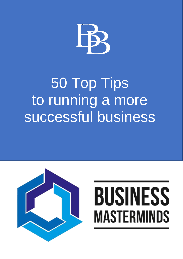

# 50 Top Tips to running a more successful business



# **BUSINESS MASTERMINDS**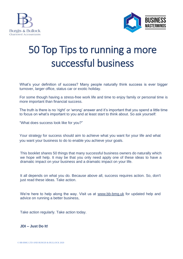



## 50 Top Tips to running a more successful business

What's your definition of success? Many people naturally think success is ever bigger turnover, larger office, status car or exotic holiday.

For some though having a stress-free work life and time to enjoy family or personal time is more important than financial success.

The truth is there is no 'right' or 'wrong' answer and it's important that you spend a little time to focus on what's important to you and at least start to think about. So ask yourself:

"What does success look like for you?"

Your strategy for success should aim to achieve what you want for your life and what you want your business to do to enable you achieve your goals.

This booklet shares 50 things that many successful business owners do naturally which we hope will help. It may be that you only need apply one of these ideas to have a dramatic impact on your business and a dramatic impact on your life.

It all depends on what you do. Because above all, success requires action. So, don't just read these ideas. Take action.

We're here to help along the way. Visit us at [www.bb-bmg.uk](http://www.bb-bmg.uk/) for updated help and advice on running a better business,

Take action regularly. Take action today.

#### **JDI – Just Do It!**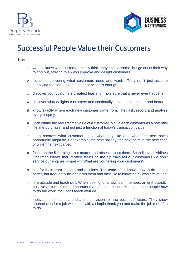



## Successful People Value their Customers

- want to know what customers really think, they don't assume, but go out of their way to find out, striving to always improve and delight customers.
- focus on delivering what customers need and want. They don't just assume supplying the same old goods or services is enough.
- discover your customers greatest fear and make sure that it never ever happens.
- discover what delights customers and continually strive to do it bigger and better.
- 5. know exactly where each new customer came from. They ask, record and analyse every enquiry.
- understand the real lifetime value of a customer. Value each customer as a potential lifetime purchaser and not just a function of today's transaction value.
- 7. keep records: what customers buy, what they like and when the next sales opportunity might be, For example: the next holiday, the next haircut, the next case of wine, the next carpet.
- focus on the little things that matter and obsess about them. Scandinavian Airlines Chairman knows that, "coffee stains on the flip trays tell our customers we don't service our engines properly". What are you telling your customers?
- ask for their team's inputs and opinions. The team often knows how to do the job better, but frequently no-one asks them and they like to know their views are valued.
- 10. hire attitude and teach skill. When looking for a new team member, an enthusiastic, positive attitude is more important than job experience. You can teach people how to do the work. You can't teach attitude.
- motivate their team and share their vision for the business' future. They show appreciation for a job well done with a simple thank you and make the job more fun to do.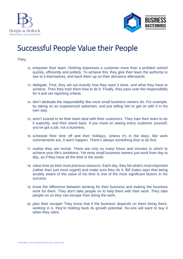



## Successful People Value their People

- empower their team. Nothing impresses a customer more than a problem solved quickly, efficiently and politely. To achieve this, they give their team the authority to see to it themselves, and back them up on their decisions afterwards.
- 13. delegate. First, they set out exactly how they want it done, and what they have to achieve. Then they train them how to do it. Finally, they pass over the responsibility for it and set reporting criteria.
- 14. don't abdicate the responsibility like most small business owners do. For example, by taking on an experienced salesman, and just telling him to get on with it in his own way.
- 15. aren't scared to let their team deal with their customers. They train their team to do it superbly, and then stand back. If you insist on seeing every customer yourself, you've got a job, not a business.
- 16. schedule their time off and their holidays. Unless it's in the diary, like work commitments are, it won't happen. There's always something else to do first.
- 17. realise they are mortal. There are only so many hours and minutes in which to achieve your life's ambitions. Yet most small business owners just work from day to day, as if they have all the time in the world.
- 18. value time as their most precious resource. Each day, they list what's most important (rather than just most urgent) and make sure they do it. Bill Gates says that being acutely aware of the value of his time is one of the most significant factors in his success.
- 19. know the difference between working for their business and making the business work for them. They don't take people on to help them with their work. They take people on so they can escape from doing the work.
- 20. plan their escape! They know that if the business depends on them being there, working in it, they're holding back its growth potential. No-one will want to buy it when they retire.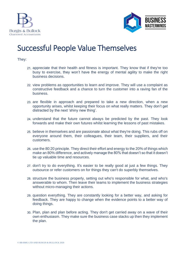



## Successful People Value Themselves

- appreciate that their health and fitness is important. They know that if they're too busy to exercise, they won't have the energy of mental agility to make the right business decisions.
- 22. view problems as opportunities to learn and improve. They will use a complaint as constructive feedback and a chance to turn the customer into a raving fan of the business.
- 23. are flexible in approach and prepared to take a new direction, when a new opportunity arises, whilst keeping their focus on what really matters. They don't get distracted by the next 'shiny new thing'.
- understand that the future cannot always be predicted by the past. They look forwards and make their own futures whilst learning the lessons of past mistakes.
- 25. believe in themselves and are passionate about what they're doing. This rubs off on everyone around them, their colleagues, their team, their suppliers, and their customers.
- use the 80:20 principle. They direct their effort and energy to the 20% of things which make an 80% difference, and actively manage the 80% that doesn't so that it doesn't tie up valuable time and resources.
- don't try to do everything. It's easier to be really good at just a few things. They outsource or refer customers on for things they can't do superbly themselves.
- 28. structure the business properly, setting out who's responsible for what, and who's answerable to whom. Then leave their teams to implement the business strategies without micro-managing their actions.
- 29. question everything. They are constantly looking for a better way, and asking for feedback. They are happy to change when the evidence points to a better way of doing things.
- Plan, plan and plan before acting. They don't get carried away on a wave of their own enthusiasm. They make sure the business case stacks up then they implement the plan.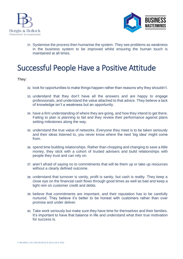



Systemise the process then humanise the system. They see problems as weakness in the business system to be improved whilst ensuring the human touch is maintained at all times.

## Successful People Have a Positive Attitude

- 32. look for opportunities to make things happen rather than reasons why they shouldn't.
- understand that they don't have all the answers and are happy to engage professionals, and understand the value attached to that advice. They believe a lack of knowledge isn't a weakness but an opportunity.
- 34. have a firm understanding of where they are going, and how they intend to get there. Failing to plan is planning to fail and they review their performance against plans setting milestones along the way.
- understand the true value of networks. Everyone they meet is to be taken seriously and their ideas listened to, you never know where the next 'big idea' might come from.
- spend time building relationships. Rather than chopping and changing to save a little money, they stick with a cohort of trusted advisers and build relationships with people they trust and can rely on.
- aren't afraid of saying no to commitments that will tie them up or take up resources without a clearly defined outcome.
- understand that turnover is vanity, profit is sanity, but cash is reality. They keep a close eye on the financial cash flows through good times as well as bad and keep a tight rein on customer credit and debts.
- believe that commitments are important, and their reputation has to be carefully nurtured. They believe it's better to be honest with customers rather than over promise and under deliver.
- Take work seriously but make sure they have time for themselves and their families. It's important to have that balance in life and understand what their true motivation for success is.